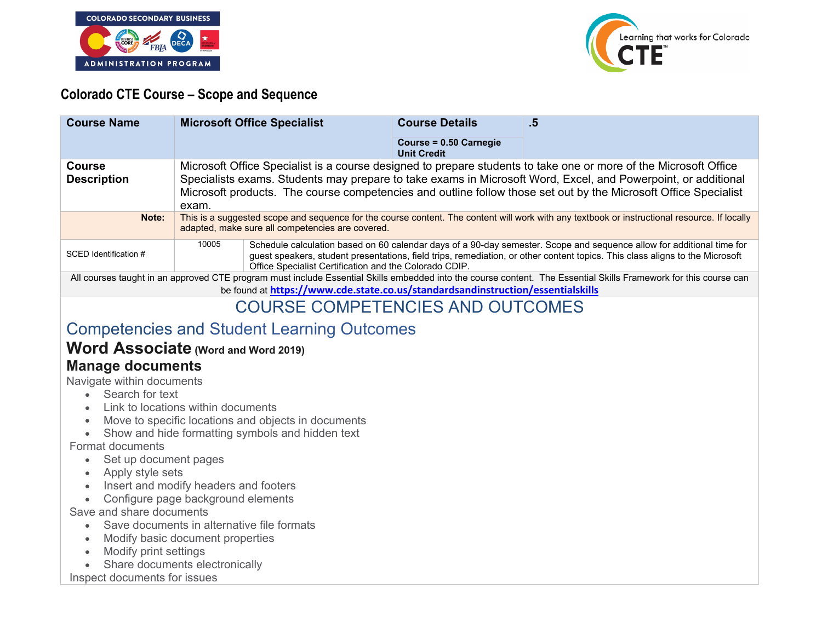



#### **Colorado CTE Course – Scope and Sequence**

| <b>Course Name</b>                                                                                                                                               | <b>Microsoft Office Specialist</b>                                                                                                                                                                                                                                                                                                                            |                                                                                                                                                                                                                                                                                                                 | <b>Course Details</b>                        | .5 |
|------------------------------------------------------------------------------------------------------------------------------------------------------------------|---------------------------------------------------------------------------------------------------------------------------------------------------------------------------------------------------------------------------------------------------------------------------------------------------------------------------------------------------------------|-----------------------------------------------------------------------------------------------------------------------------------------------------------------------------------------------------------------------------------------------------------------------------------------------------------------|----------------------------------------------|----|
|                                                                                                                                                                  |                                                                                                                                                                                                                                                                                                                                                               |                                                                                                                                                                                                                                                                                                                 | Course = 0.50 Carnegie<br><b>Unit Credit</b> |    |
| <b>Course</b><br><b>Description</b>                                                                                                                              | Microsoft Office Specialist is a course designed to prepare students to take one or more of the Microsoft Office<br>Specialists exams. Students may prepare to take exams in Microsoft Word, Excel, and Powerpoint, or additional<br>Microsoft products. The course competencies and outline follow those set out by the Microsoft Office Specialist<br>exam. |                                                                                                                                                                                                                                                                                                                 |                                              |    |
| Note:                                                                                                                                                            | This is a suggested scope and sequence for the course content. The content will work with any textbook or instructional resource. If locally<br>adapted, make sure all competencies are covered.                                                                                                                                                              |                                                                                                                                                                                                                                                                                                                 |                                              |    |
| SCED Identification #                                                                                                                                            | 10005                                                                                                                                                                                                                                                                                                                                                         | Schedule calculation based on 60 calendar days of a 90-day semester. Scope and sequence allow for additional time for<br>guest speakers, student presentations, field trips, remediation, or other content topics. This class aligns to the Microsoft<br>Office Specialist Certification and the Colorado CDIP. |                                              |    |
| All courses taught in an approved CTE program must include Essential Skills embedded into the course content. The Essential Skills Framework for this course can |                                                                                                                                                                                                                                                                                                                                                               |                                                                                                                                                                                                                                                                                                                 |                                              |    |
| be found at https://www.cde.state.co.us/standardsandinstruction/essentialskills                                                                                  |                                                                                                                                                                                                                                                                                                                                                               |                                                                                                                                                                                                                                                                                                                 |                                              |    |
| <b>COURSE COMPETENCIES AND OUTCOMES</b>                                                                                                                          |                                                                                                                                                                                                                                                                                                                                                               |                                                                                                                                                                                                                                                                                                                 |                                              |    |

# Competencies and Student Learning Outcomes

# **Word Associate (Word and Word 2019)**

#### **Manage documents**

Navigate within documents

- Search for text
- Link to locations within documents
- Move to specific locations and objects in documents
- Show and hide formatting symbols and hidden text

Format documents

- Set up document pages
- Apply style sets
- Insert and modify headers and footers
- Configure page background elements

Save and share documents

- Save documents in alternative file formats
- Modify basic document properties
- Modify print settings
- Share documents electronically

Inspect documents for issues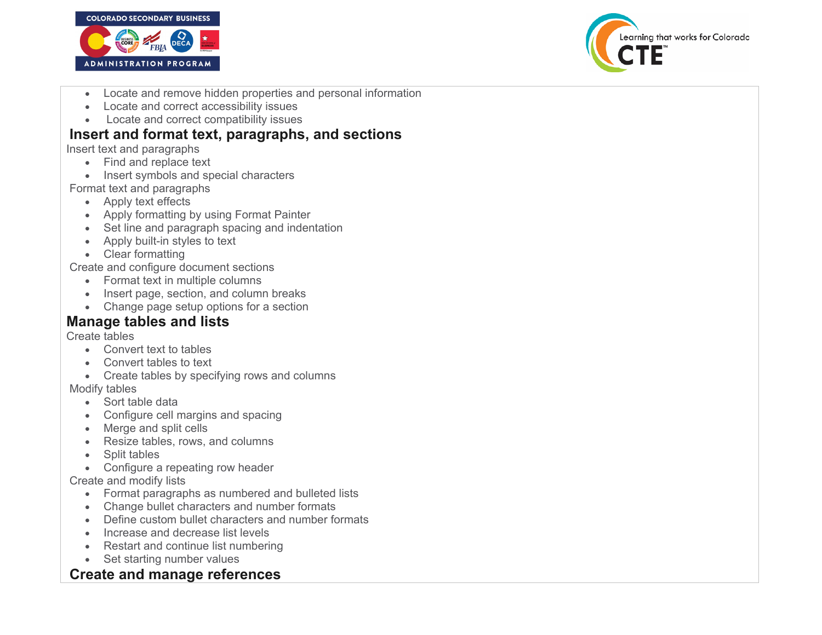



- Locate and remove hidden properties and personal information
- Locate and correct accessibility issues
- Locate and correct compatibility issues

#### **Insert and format text, paragraphs, and sections**

Insert text and paragraphs

- Find and replace text
- Insert symbols and special characters

Format text and paragraphs

- Apply text effects
- Apply formatting by using Format Painter
- Set line and paragraph spacing and indentation
- Apply built-in styles to text
- Clear formatting

Create and configure document sections

- Format text in multiple columns
- Insert page, section, and column breaks
- Change page setup options for a section

# **Manage tables and lists**

Create tables

- Convert text to tables
- Convert tables to text
- Create tables by specifying rows and columns

Modify tables

- Sort table data
- Configure cell margins and spacing
- Merge and split cells
- Resize tables, rows, and columns
- Split tables
- Configure a repeating row header

Create and modify lists

- Format paragraphs as numbered and bulleted lists
- Change bullet characters and number formats
- Define custom bullet characters and number formats
- Increase and decrease list levels
- Restart and continue list numbering
- Set starting number values

### **Create and manage references**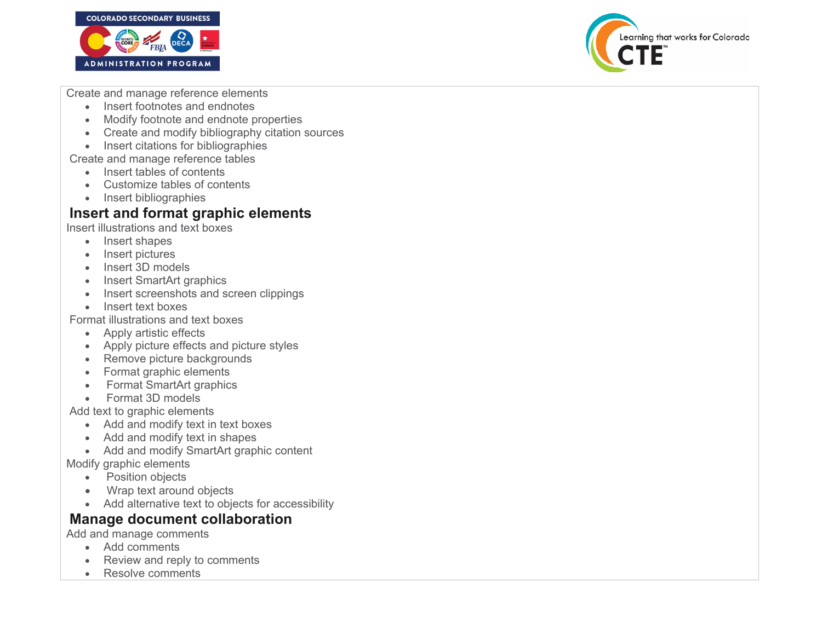



Create and manage reference elements

- Insert footnotes and endnotes
- Modify footnote and endnote properties
- Create and modify bibliography citation sources
- Insert citations for bibliographies

Create and manage reference tables

- Insert tables of contents
- Customize tables of contents
- Insert bibliographies

## **Insert and format graphic elements**

Insert illustrations and text boxes

- Insert shapes
- Insert pictures
- Insert 3D models
- Insert SmartArt graphics
- Insert screenshots and screen clippings
- Insert text boxes

Format illustrations and text boxes

- Apply artistic effects
- Apply picture effects and picture styles
- Remove picture backgrounds
- Format graphic elements
- Format SmartArt graphics
- Format 3D models

Add text to graphic elements

- Add and modify text in text boxes
- Add and modify text in shapes
- Add and modify SmartArt graphic content

Modify graphic elements

- Position objects
- Wrap text around objects
- Add alternative text to objects for accessibility

# **Manage document collaboration**

Add and manage comments

- Add comments
- Review and reply to comments
- Resolve comments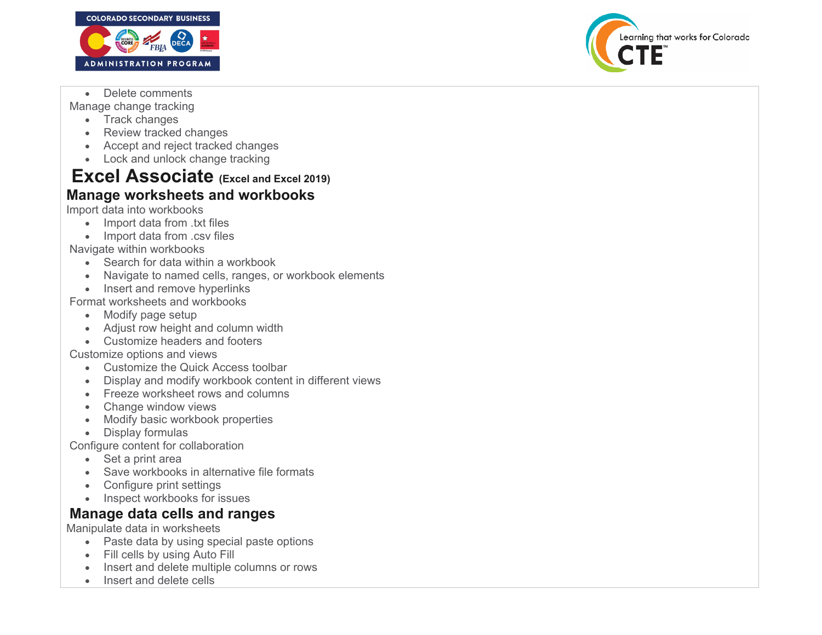

Learning that works for Colorado

• Delete comments

Manage change tracking

- Track changes
- Review tracked changes
- Accept and reject tracked changes
- Lock and unlock change tracking

# **Excel Associate (Excel and Excel 2019) Manage worksheets and workbooks**

Import data into workbooks

- Import data from .txt files
- Import data from .csv files

Navigate within workbooks

- Search for data within a workbook
- Navigate to named cells, ranges, or workbook elements
- Insert and remove hyperlinks

Format worksheets and workbooks

- Modify page setup
- Adjust row height and column width
- Customize headers and footers

Customize options and views

- Customize the Quick Access toolbar
- Display and modify workbook content in different views
- Freeze worksheet rows and columns
- Change window views
- Modify basic workbook properties
- Display formulas

Configure content for collaboration

- Set a print area
- Save workbooks in alternative file formats
- Configure print settings
- Inspect workbooks for issues

# **Manage data cells and ranges**

Manipulate data in worksheets

- Paste data by using special paste options
- Fill cells by using Auto Fill
- Insert and delete multiple columns or rows
- Insert and delete cells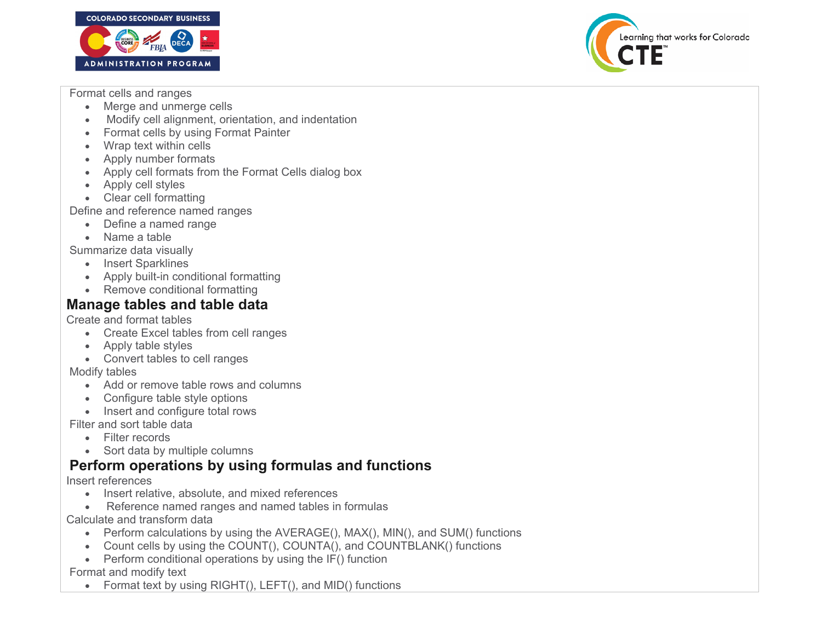



Format cells and ranges

- Merge and unmerge cells
- Modify cell alignment, orientation, and indentation
- Format cells by using Format Painter
- Wrap text within cells
- Apply number formats
- Apply cell formats from the Format Cells dialog box
- Apply cell styles
- Clear cell formatting

Define and reference named ranges

- Define a named range
- Name a table

Summarize data visually

- Insert Sparklines
- Apply built-in conditional formatting
- Remove conditional formatting

#### **Manage tables and table data**

Create and format tables

- Create Excel tables from cell ranges
- Apply table styles
- Convert tables to cell ranges

Modify tables

- Add or remove table rows and columns
- Configure table style options
- Insert and configure total rows

Filter and sort table data

- Filter records
- Sort data by multiple columns

### **Perform operations by using formulas and functions**

Insert references

- Insert relative, absolute, and mixed references
- Reference named ranges and named tables in formulas

Calculate and transform data

- Perform calculations by using the AVERAGE(), MAX(), MIN(), and SUM() functions
- Count cells by using the COUNT(), COUNTA(), and COUNTBLANK() functions
- Perform conditional operations by using the  $IF()$  function

Format and modify text

• Format text by using RIGHT(), LEFT(), and MID() functions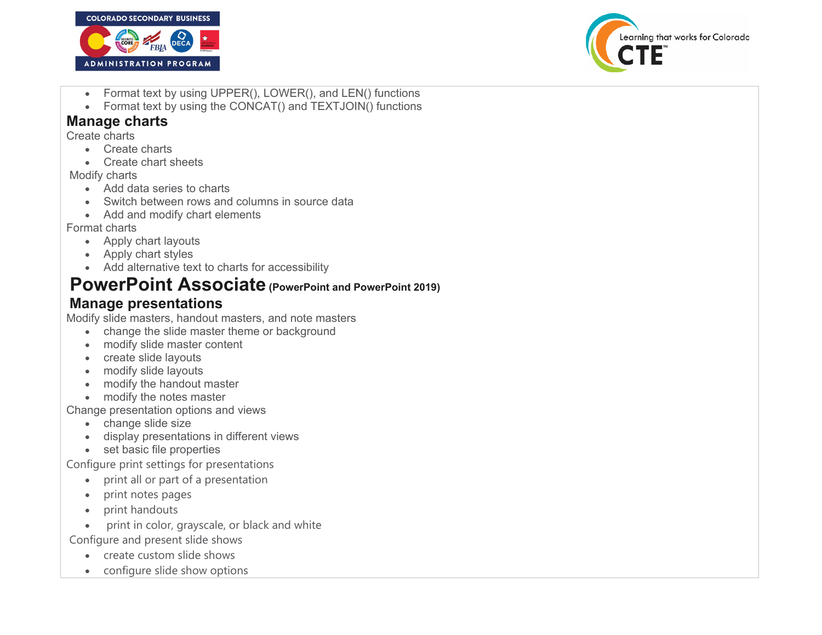



- Format text by using UPPER(), LOWER(), and LEN() functions
- Format text by using the CONCAT() and TEXTJOIN() functions

### **Manage charts**

Create charts

- Create charts
- Create chart sheets

#### Modify charts

- Add data series to charts
- Switch between rows and columns in source data
- Add and modify chart elements

#### Format charts

- Apply chart layouts
- Apply chart styles
- Add alternative text to charts for accessibility

# **PowerPoint Associate (PowerPoint and PowerPoint 2019)**

# **Manage presentations**

Modify slide masters, handout masters, and note masters

- change the slide master theme or background
- modify slide master content
- create slide layouts
- modify slide layouts
- modify the handout master
- modify the notes master

Change presentation options and views

- change slide size
- display presentations in different views
- set basic file properties

Configure print settings for presentations

- print all or part of a presentation
- print notes pages
- print handouts
- print in color, grayscale, or black and white

Configure and present slide shows

- create custom slide shows
- configure slide show options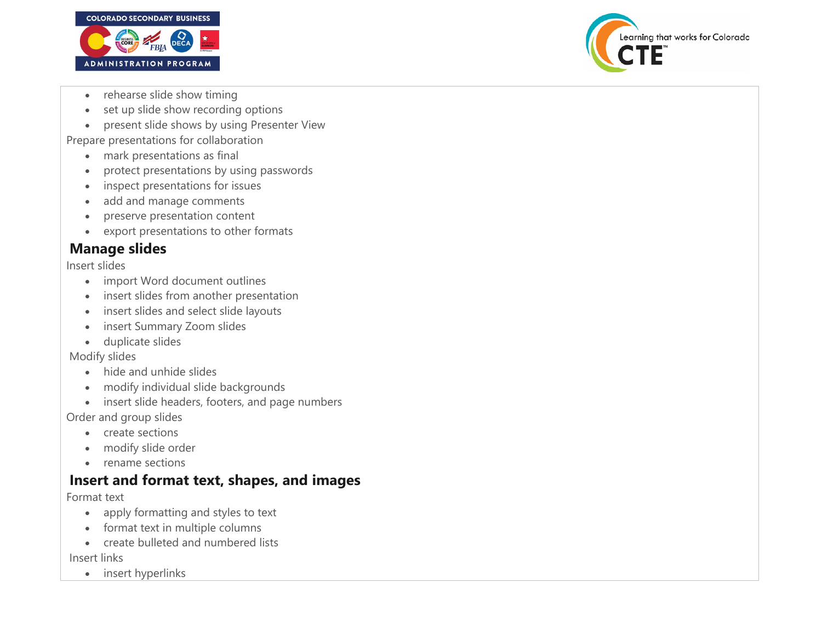



- rehearse slide show timing
- set up slide show recording options
- present slide shows by using Presenter View

Prepare presentations for collaboration

- mark presentations as final
- protect presentations by using passwords
- inspect presentations for issues
- add and manage comments
- preserve presentation content
- export presentations to other formats

# **Manage slides**

Insert slides

- import Word document outlines
- insert slides from another presentation
- insert slides and select slide layouts
- insert Summary Zoom slides
- duplicate slides

Modify slides

- hide and unhide slides
- modify individual slide backgrounds
- insert slide headers, footers, and page numbers

Order and group slides

- create sections
- modify slide order
- rename sections

### **Insert and format text, shapes, and images**

Format text

- apply formatting and styles to text
- format text in multiple columns
- create bulleted and numbered lists

Insert links

• insert hyperlinks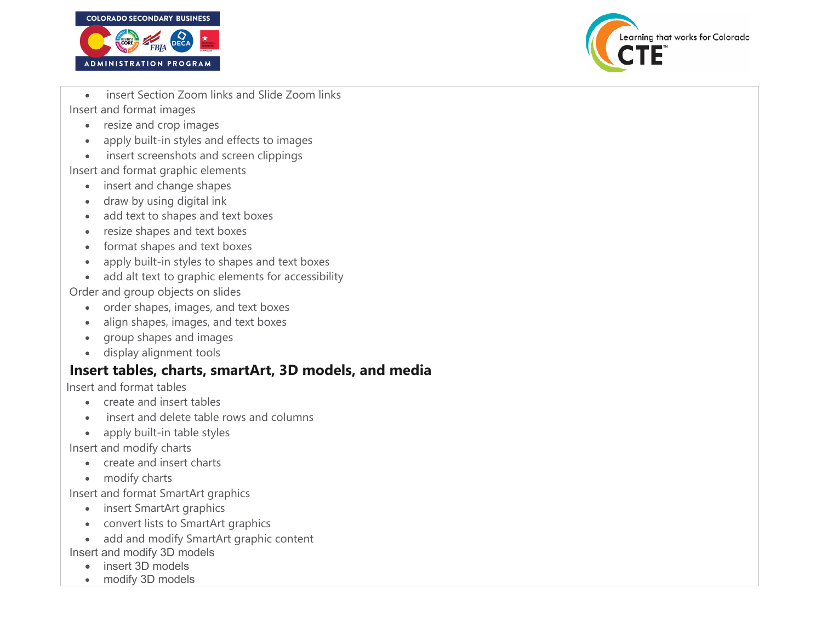



- insert Section Zoom links and Slide Zoom links Insert and format images
	- resize and crop images
	- apply built-in styles and effects to images
	- insert screenshots and screen clippings

Insert and format graphic elements

- insert and change shapes
- draw by using digital ink
- add text to shapes and text boxes
- resize shapes and text boxes
- format shapes and text boxes
- apply built-in styles to shapes and text boxes
- add alt text to graphic elements for accessibility

Order and group objects on slides

- order shapes, images, and text boxes
- align shapes, images, and text boxes
- group shapes and images
- display alignment tools

# **Insert tables, charts, smartArt, 3D models, and media**

Insert and format tables

- create and insert tables
- insert and delete table rows and columns
- apply built-in table styles

Insert and modify charts

- create and insert charts
- modify charts

Insert and format SmartArt graphics

- insert SmartArt graphics
- convert lists to SmartArt graphics
- add and modify SmartArt graphic content

Insert and modify 3D models

- insert 3D models
- modify 3D models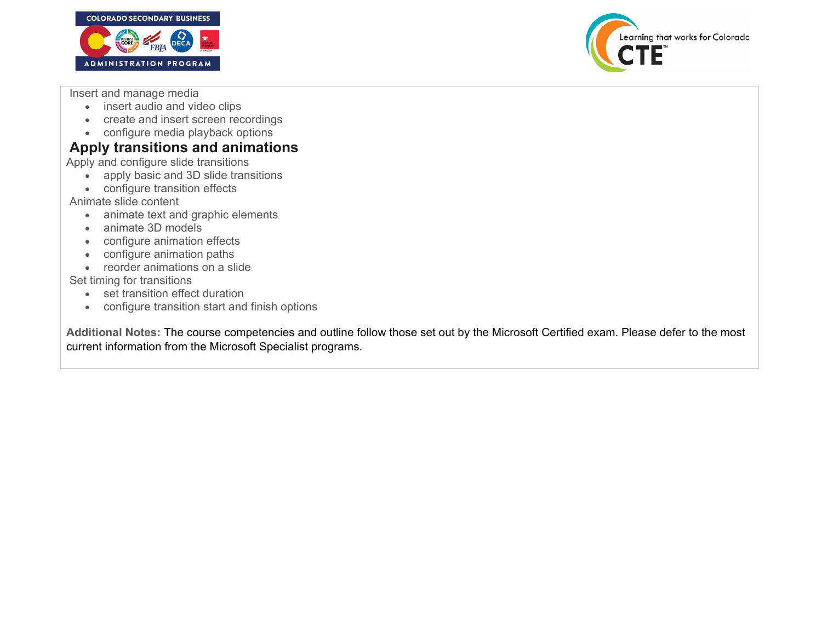



Insert and manage media

- insert audio and video clips
- create and insert screen recordings
- configure media playback options

## **Apply transitions and animations**

Apply and configure slide transitions

- apply basic and 3D slide transitions
- configure transition effects

Animate slide content

- animate text and graphic elements
- animate 3D models
- configure animation effects
- configure animation paths
- reorder animations on a slide

Set timing for transitions

- set transition effect duration
- configure transition start and finish options

**Additional Notes:** The course competencies and outline follow those set out by the Microsoft Certified exam. Please defer to the most current information from the Microsoft Specialist programs.